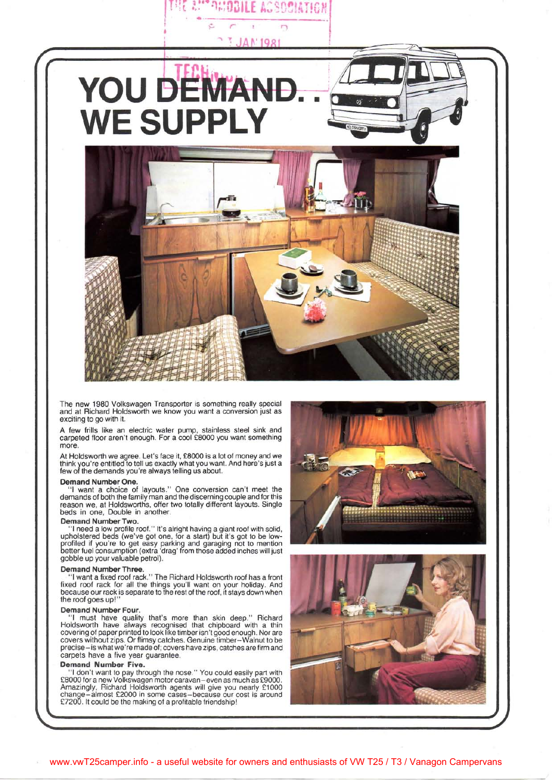

**A!!" PHOBILE ACSOCIATION** 

The new 1980 Volkswagen Transporter is something really special and at Richard Holdsworth we know you want a conversion just as exciting to go with it.

A few frills like an electric water pump, stainless steel sink and carpeted floor aren't enough. For a cool £8000 you want something more.

At Holdsworth we agree. Let's face it, £8000 is a lot of money and we think you're entitled to tell us exactly what you want. And here's just a few of the demands you're always telling us about.

#### **Demand Number One.**

"I want a choice of layouts." One conversion can't meet the demands of both the family man and the discerning couple and for this reason we, at Holdsworths, offer two totally different layouts. Single beds in one, Double in another.

## **Demand Number Two.**

"I need a low profile roof." It's alright having a giant roof with solid, upholstered beds (we've got one, for a start) but it's got to be lowprofiled if you're to get easy parking and garaging not to mention better fuel consumption (extra 'drag' from those added inches will just gobble up your valuable petrol).

#### **Demand Number Three.**

"I want a fixed roof rack." The Richard Holdsworth roof has a front fixed roof rack for all the things you'll want on your holiday. And because our rack is separate to the rest of the roof, it stays down when the roof goes up!"

## **Demand Number Four.**

"I must have quality that's more than skin deep." Richard Holdsworth have always recognised that chipboard with a thin covering of paper printed to look like timber isn't good enough. Nor are covers without zips. Or flimsy catches. Genuine timber-Walnut to be precise-is what we're made of; covers have zips, catches are firm and carpets have a five year guarantee.

## **Demand Number Five.**

"I don't want to pay through the nose." You could easily part with £8000 for a new Volkswagen motor caravan-even as much as £9000. Amazingly, Richard Holdsworth agents will give you nearly £1000 change-almost £2000 in some cases-because our cost is around £7200. It could be the making of a profitable friendship!